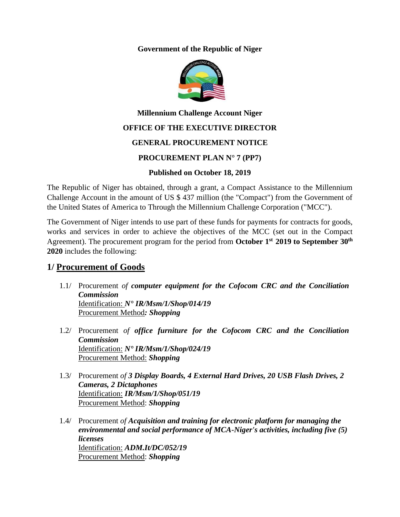**Government of the Republic of Niger**



# **Millennium Challenge Account Niger OFFICE OF THE EXECUTIVE DIRECTOR**

### **GENERAL PROCUREMENT NOTICE**

#### **PROCUREMENT PLAN N° 7 (PP7)**

#### **Published on October 18, 2019**

The Republic of Niger has obtained, through a grant, a Compact Assistance to the Millennium Challenge Account in the amount of US \$ 437 million (the "Compact") from the Government of the United States of America to Through the Millennium Challenge Corporation ("MCC").

The Government of Niger intends to use part of these funds for payments for contracts for goods, works and services in order to achieve the objectives of the MCC (set out in the Compact Agreement). The procurement program for the period from **October 1 st 2019 to September 30 th 2020** includes the following:

## **1/ Procurement of Goods**

- 1.1/ Procurement *of computer equipment for the Cofocom CRC and the Conciliation Commission* Identification: *N° IR/Msm/1/Shop/014/19* Procurement Method*: Shopping*
- 1.2/ Procurement *of office furniture for the Cofocom CRC and the Conciliation Commission* Identification: *N° IR/Msm/1/Shop/024/19* Procurement Method: *Shopping*
- 1.3/ Procurement *of 3 Display Boards, 4 External Hard Drives, 20 USB Flash Drives, 2 Cameras, 2 Dictaphones* Identification: *IR/Msm/1/Shop/051/19* Procurement Method: *Shopping*
- 1.4/ Procurement *of Acquisition and training for electronic platform for managing the environmental and social performance of MCA-Niger's activities, including five (5) licenses* Identification: *ADM.It/DC/052/19* Procurement Method: *Shopping*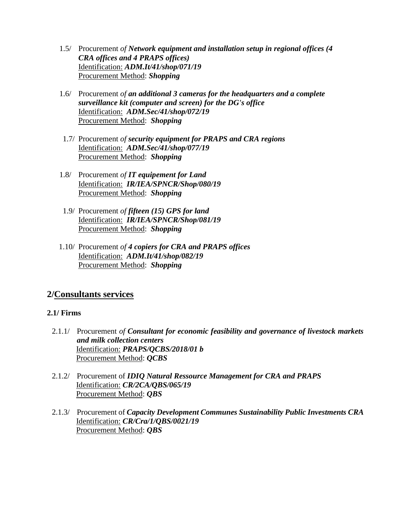- 1.5/ Procurement *of Network equipment and installation setup in regional offices (4 CRA offices and 4 PRAPS offices)* Identification: *ADM.It/41/shop/071/19* Procurement Method: *Shopping*
- 1.6/ Procurement *of an additional 3 cameras for the headquarters and a complete surveillance kit (computer and screen) for the DG's office* Identification: *ADM.Sec/41/shop/072/19* Procurement Method: *Shopping*
- 1.7/ Procurement *of security equipment for PRAPS and CRA regions* Identification: *ADM.Sec/41/shop/077/19* Procurement Method: *Shopping*
- 1.8/ Procurement *of IT equipement for Land*  Identification: *IR/IEA/SPNCR/Shop/080/19* Procurement Method: *Shopping*
- 1.9/ Procurement *of fifteen (15) GPS for land* Identification: *IR/IEA/SPNCR/Shop/081/19* Procurement Method: *Shopping*
- 1.10/ Procurement *of 4 copiers for CRA and PRAPS offices* Identification: *ADM.It/41/shop/082/19* Procurement Method: *Shopping*

## **2/Consultants services**

#### **2.1/ Firms**

- 2.1.1/ Procurement *of Consultant for economic feasibility and governance of livestock markets and milk collection centers* Identification: *PRAPS/QCBS/2018/01 b* Procurement Method: *QCBS*
- 2.1.2/ Procurement of *IDIQ Natural Ressource Management for CRA and PRAPS* Identification: *CR/2CA/QBS/065/19* Procurement Method: *QBS*
- 2.1.3/ Procurement of *Capacity Development Communes Sustainability Public Investments CRA* Identification: *CR/Cra/1/QBS/0021/19* Procurement Method: *QBS*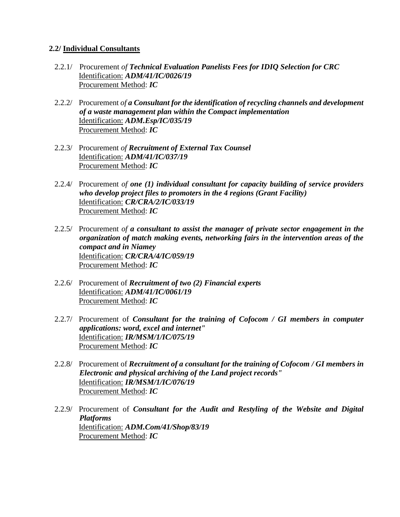#### **2.2/ Individual Consultants**

- 2.2.1/ Procurement *of Technical Evaluation Panelists Fees for IDIQ Selection for CRC* Identification: *ADM/41/IC/0026/19* Procurement Method: *IC*
- 2.2.2/ Procurement *of a Consultant for the identification of recycling channels and development of a waste management plan within the Compact implementation* Identification: *ADM.Esp/IC/035/19* Procurement Method: *IC*
- 2.2.3/ Procurement *of Recruitment of External Tax Counsel* Identification: *ADM/41/IC/037/19* Procurement Method: *IC*
- 2.2.4/ Procurement *of one (1) individual consultant for capacity building of service providers who develop project files to promoters in the 4 regions (Grant Facility)* Identification: *CR/CRA/2/IC/033/19* Procurement Method: *IC*
- 2.2.5/ Procurement *of a consultant to assist the manager of private sector engagement in the organization of match making events, networking fairs in the intervention areas of the compact and in Niamey* Identification: *CR/CRA/4/IC/059/19* Procurement Method: *IC*
- 2.2.6/ Procurement of *Recruitment of two (2) Financial experts* Identification: *ADM/41/IC/0061/19* Procurement Method: *IC*
- 2.2.7/ Procurement of *Consultant for the training of Cofocom / GI members in computer applications: word, excel and internet"* Identification: *IR/MSM/1/IC/075/19* Procurement Method: *IC*
- 2.2.8/ Procurement of *Recruitment of a consultant for the training of Cofocom / GI members in Electronic and physical archiving of the Land project records"* Identification: *IR/MSM/1/IC/076/19* Procurement Method: *IC*
- 2.2.9/ Procurement of *Consultant for the Audit and Restyling of the Website and Digital Platforms* Identification: *ADM.Com/41/Shop/83/19* Procurement Method: *IC*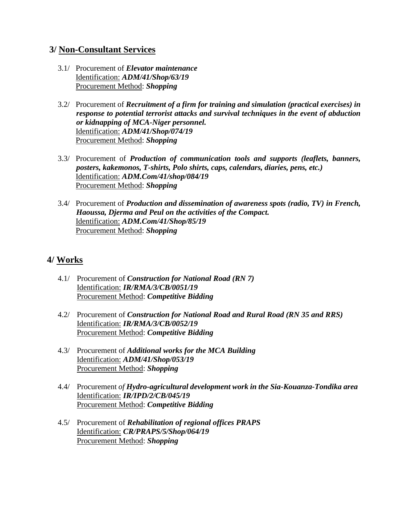### **3/ Non-Consultant Services**

- 3.1/ Procurement of *Elevator maintenance* Identification: *ADM/41/Shop/63/19* Procurement Method: *Shopping*
- 3.2/ Procurement of *Recruitment of a firm for training and simulation (practical exercises) in response to potential terrorist attacks and survival techniques in the event of abduction or kidnapping of MCA-Niger personnel.* Identification: *ADM/41/Shop/074/19* Procurement Method: *Shopping*
- 3.3/ Procurement of *Production of communication tools and supports (leaflets, banners, posters, kakemonos, T-shirts, Polo shirts, caps, calendars, diaries, pens, etc.)* Identification: *ADM.Com/41/shop/084/19* Procurement Method: *Shopping*
- 3.4/ Procurement of *Production and dissemination of awareness spots (radio, TV) in French, Haoussa, Djerma and Peul on the activities of the Compact.* Identification: *ADM.Com/41/Shop/85/19* Procurement Method: *Shopping*

## **4/ Works**

- 4.1/ Procurement of *Construction for National Road (RN 7)* Identification: *IR/RMA/3/CB/0051/19* Procurement Method: *Competitive Bidding*
- 4.2/ Procurement of *Construction for National Road and Rural Road (RN 35 and RRS)* Identification: *IR/RMA/3/CB/0052/19* Procurement Method: *Competitive Bidding*
- 4.3/ Procurement of *Additional works for the MCA Building* Identification: *ADM/41/Shop/053/19* Procurement Method: *Shopping*
- 4.4/ Procurement *of Hydro-agricultural development work in the Sia-Kouanza-Tondika area* Identification: *IR/IPD/2/CB/045/19* Procurement Method: *Competitive Bidding*
- 4.5/ Procurement of *Rehabilitation of regional offices PRAPS* Identification: *CR/PRAPS/5/Shop/064/19* Procurement Method: *Shopping*